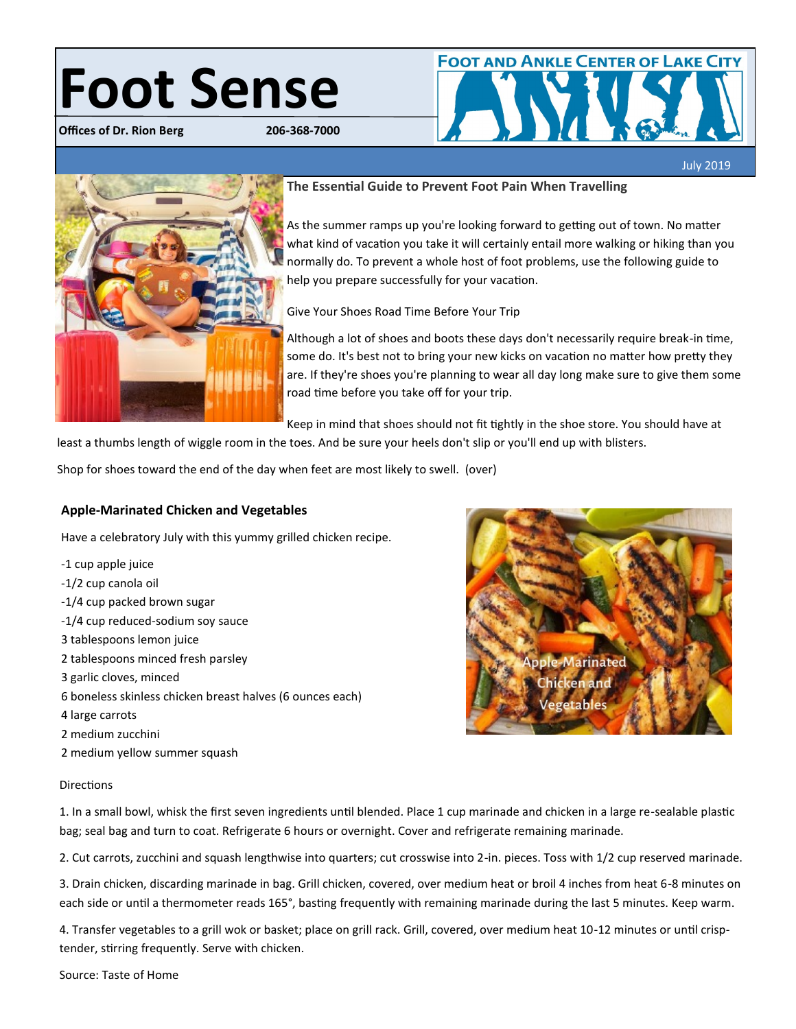# **Foot Sense**

**Offices of Dr. Rion Berg 206-368-7000**



July 2019



# **The Essential Guide to Prevent Foot Pain When Travelling**

As the summer ramps up you're looking forward to getting out of town. No matter what kind of vacation you take it will certainly entail more walking or hiking than you normally do. To prevent a whole host of foot problems, use the following guide to help you prepare successfully for your vacation.

Give Your Shoes Road Time Before Your Trip

Although a lot of shoes and boots these days don't necessarily require break-in time, some do. It's best not to bring your new kicks on vacation no matter how pretty they are. If they're shoes you're planning to wear all day long make sure to give them some road time before you take off for your trip.

Keep in mind that shoes should not fit tightly in the shoe store. You should have at

least a thumbs length of wiggle room in the toes. And be sure your heels don't slip or you'll end up with blisters.

Shop for shoes toward the end of the day when feet are most likely to swell. (over)

# **Apple-Marinated Chicken and Vegetables**

Have a celebratory July with this yummy grilled chicken recipe.

- -1 cup apple juice
- -1/2 cup canola oil
- -1/4 cup packed brown sugar
- -1/4 cup reduced-sodium soy sauce
- 3 tablespoons lemon juice
- 2 tablespoons minced fresh parsley
- 3 garlic cloves, minced
- 6 boneless skinless chicken breast halves (6 ounces each)
- 4 large carrots
- 2 medium zucchini
- 2 medium yellow summer squash

#### Directions

1. In a small bowl, whisk the first seven ingredients until blended. Place 1 cup marinade and chicken in a large re-sealable plastic bag; seal bag and turn to coat. Refrigerate 6 hours or overnight. Cover and refrigerate remaining marinade.

2. Cut carrots, zucchini and squash lengthwise into quarters; cut crosswise into 2-in. pieces. Toss with 1/2 cup reserved marinade.

3. Drain chicken, discarding marinade in bag. Grill chicken, covered, over medium heat or broil 4 inches from heat 6-8 minutes on each side or until a thermometer reads 165°, basting frequently with remaining marinade during the last 5 minutes. Keep warm.

4. Transfer vegetables to a grill wok or basket; place on grill rack. Grill, covered, over medium heat 10-12 minutes or until crisptender, stirring frequently. Serve with chicken.